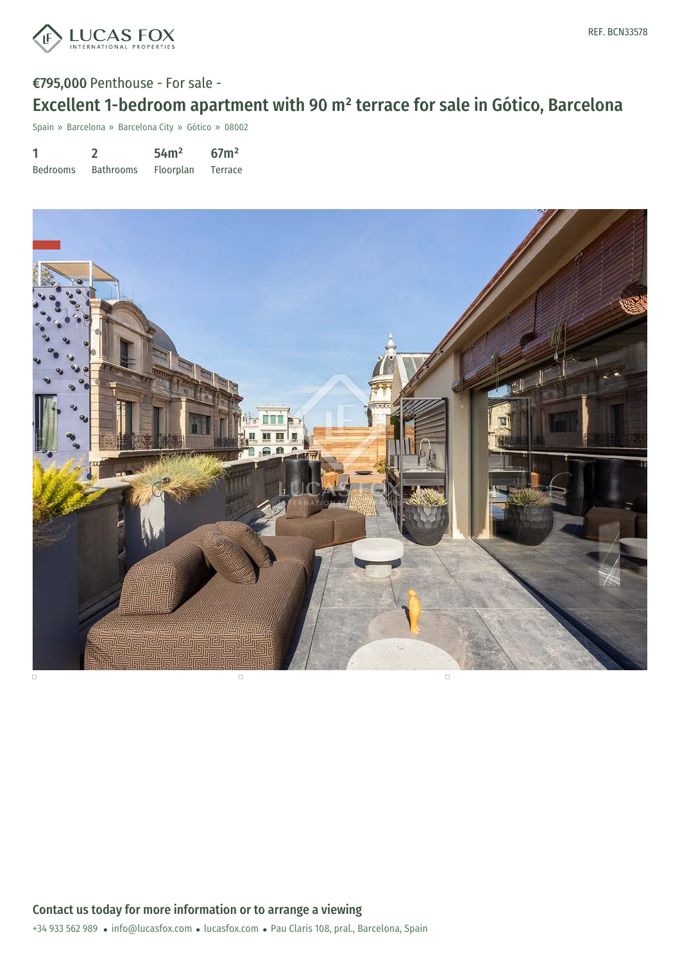

# €795,000 Penthouse - For sale - Excellent 1-bedroom apartment with 90 m² terrace for sale in Gótico, Barcelona

Spain » Barcelona » Barcelona City » Gótico » 08002

| 1               |                  | 54 <sup>m²</sup> | 67 <sup>2</sup> |
|-----------------|------------------|------------------|-----------------|
| <b>Bedrooms</b> | <b>Bathrooms</b> | <b>Floorplan</b> | Terrace         |



+34 933 562 989 · info@lucasfox.com · lucasfox.com · Pau Claris 108, pral., Barcelona, Spain Contact us today for more information or to arrange a viewing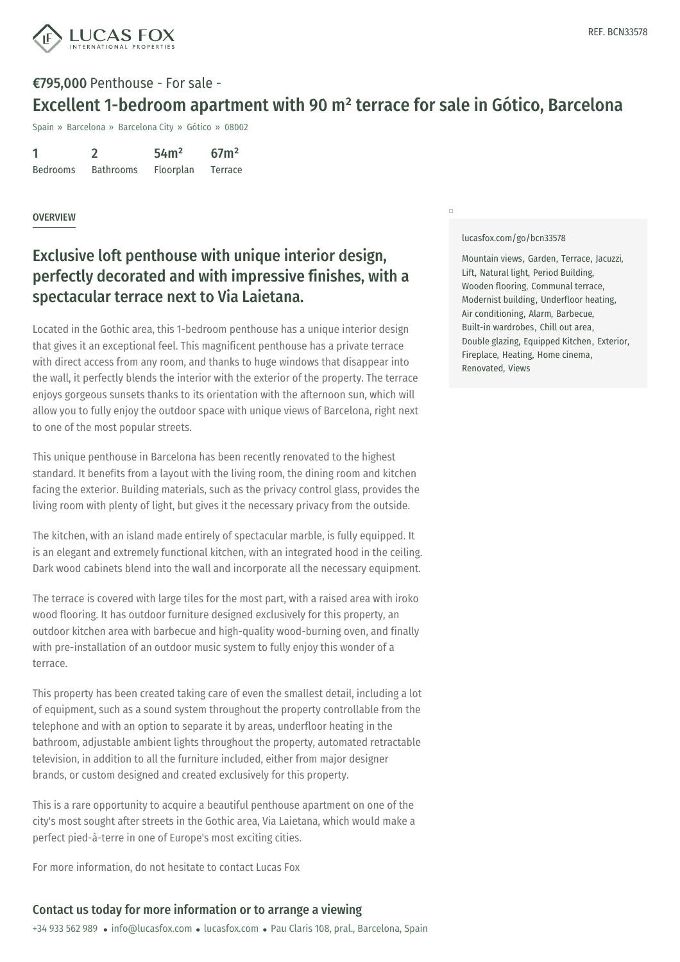

## €795,000 Penthouse - For sale - Excellent 1-bedroom apartment with 90 m² terrace for sale in Gótico, Barcelona

Spain » Barcelona » Barcelona City » Gótico » 08002

| 1               |                  | 54 <sup>m²</sup> | 67 <sup>2</sup> |
|-----------------|------------------|------------------|-----------------|
| <b>Bedrooms</b> | <b>Bathrooms</b> | Floorplan        | Terrace         |

#### **OVERVIEW**

## Exclusive loft penthouse with unique interior design, perfectly decorated and with impressive finishes, with a spectacular terrace next to Via Laietana.

Located in the Gothic area, this 1-bedroom penthouse has a unique interior design that gives it an exceptional feel. This magnificent penthouse has a private terrace with direct access from any room, and thanks to huge windows that disappear into the wall, it perfectly blends the interior with the exterior of the property. The terrace enjoys gorgeous sunsets thanks to its orientation with the afternoon sun, which will allow you to fully enjoy the outdoor space with unique views of Barcelona, right next to one of the most popular streets.

This unique penthouse in Barcelona has been recently renovated to the highest standard. It benefits from a layout with the living room, the dining room and kitchen facing the exterior. Building materials, such as the privacy control glass, provides the living room with plenty of light, but gives it the necessary privacy from the outside.

The kitchen, with an island made entirely of spectacular marble, is fully equipped. It is an elegant and extremely functional kitchen, with an integrated hood in the ceiling. Dark wood cabinets blend into the wall and incorporate all the necessary equipment.

The terrace is covered with large tiles for the most part, with a raised area with iroko wood flooring. It has outdoor furniture designed exclusively for this property, an outdoor kitchen area with barbecue and high-quality wood-burning oven, and finally with pre-installation of an outdoor music system to fully enjoy this wonder of a terrace.

This property has been created taking care of even the smallest detail, including a lot of equipment, such as a sound system [throughout](https://www.lucasfox.com) the property controllable from the telephone and with an [option](mailto:info@lucasfox.com) to separate it by areas, underfloor heating in the bathroom, adjustable ambient lights throughout the property, automated retractable television, in addition to all the furniture included, either from major designer brands, or custom designed and created exclusively for this property.

This is a rare opportunity to acquire a beautiful penthouse apartment on one of the city's most sought after streets in the Gothic area, Via Laietana, which would make a perfect pied-à-terre in one of Europe's most exciting cities.

For more information, do not hesitate to contact Lucas Fox

### Contact us today for more information or to arrange a viewing

+34 933 562 989 · info@lucasfox.com · lucasfox.com · Pau Claris 108, pral., Barcelona, Spain

[lucasfox.com/go/bcn33578](https://www.lucasfox.com/go/bcn33578)

 $\Box$ 

Mountain views, Garden, Terrace, Jacuzzi, Lift, Natural light, Period Building, Wooden flooring, Communal terrace, Modernist building, Underfloor heating, Air conditioning, Alarm, Barbecue, Built-in wardrobes, Chill out area, Double glazing, Equipped Kitchen, Exterior, Fireplace, Heating, Home cinema, Renovated, Views